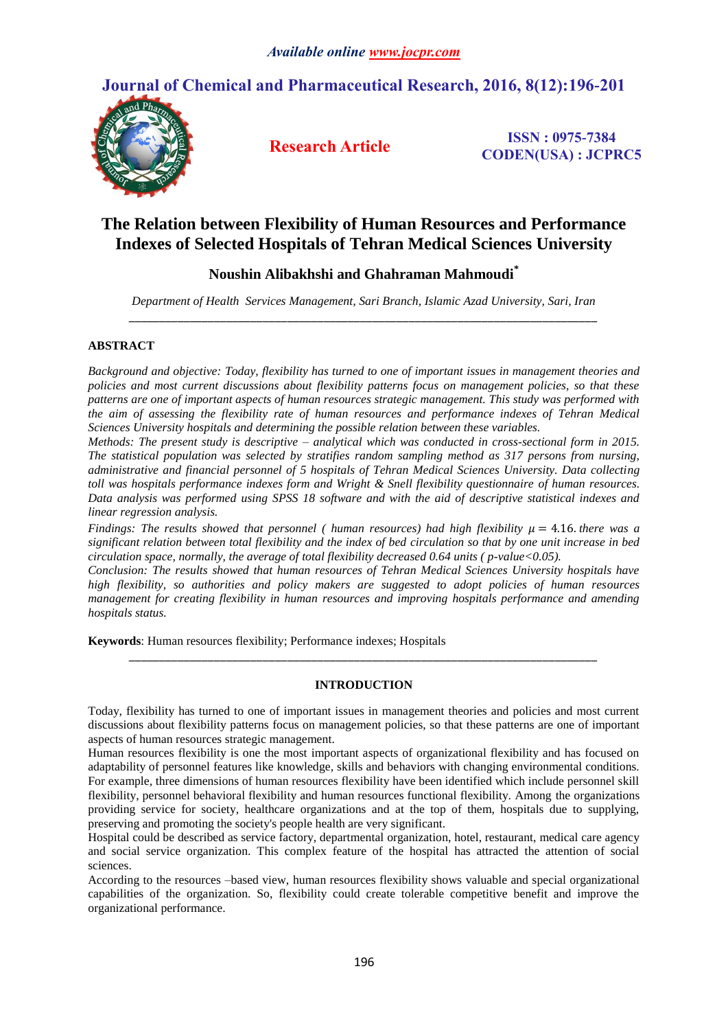# **Journal of Chemical and Pharmaceutical Research, 2016, 8(12):196-201**



**Research Article ISSN : 0975-7384 CODEN(USA) : JCPRC5**

## **The Relation between Flexibility of Human Resources and Performance Indexes of Selected Hospitals of Tehran Medical Sciences University**

## **Noushin Alibakhshi and Ghahraman Mahmoudi\***

*Department of Health Services Management, Sari Branch, Islamic Azad University, Sari, Iran \_\_\_\_\_\_\_\_\_\_\_\_\_\_\_\_\_\_\_\_\_\_\_\_\_\_\_\_\_\_\_\_\_\_\_\_\_\_\_\_\_\_\_\_\_\_\_\_\_\_\_\_\_\_\_\_\_\_\_\_\_\_\_\_\_\_\_\_\_\_\_\_\_\_\_\_\_*

## **ABSTRACT**

*Background and objective: Today, flexibility has turned to one of important issues in management theories and policies and most current discussions about flexibility patterns focus on management policies, so that these patterns are one of important aspects of human resources strategic management. This study was performed with the aim of assessing the flexibility rate of human resources and performance indexes of Tehran Medical Sciences University hospitals and determining the possible relation between these variables.*

*Methods: The present study is descriptive – analytical which was conducted in cross-sectional form in 2015. The statistical population was selected by stratifies random sampling method as 317 persons from nursing, administrative and financial personnel of 5 hospitals of Tehran Medical Sciences University. Data collecting toll was hospitals performance indexes form and Wright & Snell flexibility questionnaire of human resources. Data analysis was performed using SPSS 18 software and with the aid of descriptive statistical indexes and linear regression analysis.*

*Findings: The results showed that personnel ( human resources) had high flexibility*  $\mu = 4.16$ *. there was a significant relation between total flexibility and the index of bed circulation so that by one unit increase in bed circulation space, normally, the average of total flexibility decreased 0.64 units ( p-value<0.05).*

*Conclusion: The results showed that human resources of Tehran Medical Sciences University hospitals have high flexibility, so authorities and policy makers are suggested to adopt policies of human resources management for creating flexibility in human resources and improving hospitals performance and amending hospitals status.* 

**Keywords**: Human resources flexibility; Performance indexes; Hospitals

### **INTRODUCTION**

*\_\_\_\_\_\_\_\_\_\_\_\_\_\_\_\_\_\_\_\_\_\_\_\_\_\_\_\_\_\_\_\_\_\_\_\_\_\_\_\_\_\_\_\_\_\_\_\_\_\_\_\_\_\_\_\_\_\_\_\_\_\_\_\_\_\_\_\_\_\_\_\_\_\_\_\_\_*

Today, flexibility has turned to one of important issues in management theories and policies and most current discussions about flexibility patterns focus on management policies, so that these patterns are one of important aspects of human resources strategic management.

Human resources flexibility is one the most important aspects of organizational flexibility and has focused on adaptability of personnel features like knowledge, skills and behaviors with changing environmental conditions. For example, three dimensions of human resources flexibility have been identified which include personnel skill flexibility, personnel behavioral flexibility and human resources functional flexibility. Among the organizations providing service for society, healthcare organizations and at the top of them, hospitals due to supplying, preserving and promoting the society's people health are very significant.

Hospital could be described as service factory, departmental organization, hotel, restaurant, medical care agency and social service organization. This complex feature of the hospital has attracted the attention of social sciences.

According to the resources –based view, human resources flexibility shows valuable and special organizational capabilities of the organization. So, flexibility could create tolerable competitive benefit and improve the organizational performance.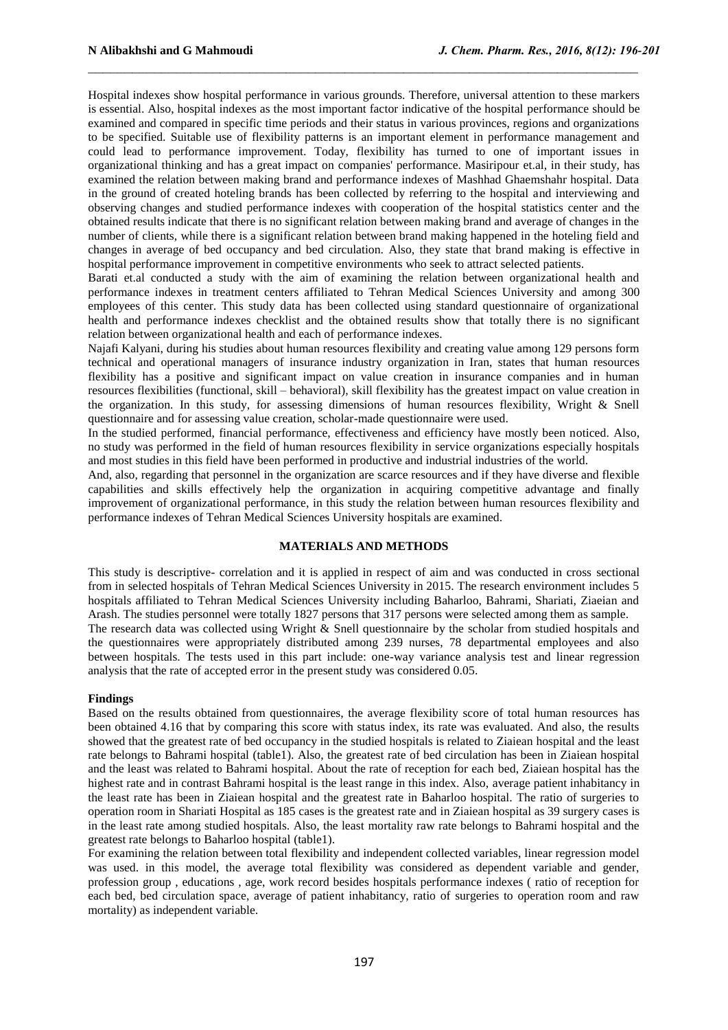Hospital indexes show hospital performance in various grounds. Therefore, universal attention to these markers is essential. Also, hospital indexes as the most important factor indicative of the hospital performance should be examined and compared in specific time periods and their status in various provinces, regions and organizations to be specified. Suitable use of flexibility patterns is an important element in performance management and could lead to performance improvement. Today, flexibility has turned to one of important issues in organizational thinking and has a great impact on companies' performance. Masiripour et.al, in their study, has examined the relation between making brand and performance indexes of Mashhad Ghaemshahr hospital. Data in the ground of created hoteling brands has been collected by referring to the hospital and interviewing and observing changes and studied performance indexes with cooperation of the hospital statistics center and the obtained results indicate that there is no significant relation between making brand and average of changes in the number of clients, while there is a significant relation between brand making happened in the hoteling field and changes in average of bed occupancy and bed circulation. Also, they state that brand making is effective in hospital performance improvement in competitive environments who seek to attract selected patients.

 $\_$  , and the contribution of the contribution of  $\mathcal{L}_\mathcal{A}$  , and the contribution of  $\mathcal{L}_\mathcal{A}$ 

Barati et.al conducted a study with the aim of examining the relation between organizational health and performance indexes in treatment centers affiliated to Tehran Medical Sciences University and among 300 employees of this center. This study data has been collected using standard questionnaire of organizational health and performance indexes checklist and the obtained results show that totally there is no significant relation between organizational health and each of performance indexes.

Najafi Kalyani, during his studies about human resources flexibility and creating value among 129 persons form technical and operational managers of insurance industry organization in Iran, states that human resources flexibility has a positive and significant impact on value creation in insurance companies and in human resources flexibilities (functional, skill – behavioral), skill flexibility has the greatest impact on value creation in the organization. In this study, for assessing dimensions of human resources flexibility, Wright & Snell questionnaire and for assessing value creation, scholar-made questionnaire were used.

In the studied performed, financial performance, effectiveness and efficiency have mostly been noticed. Also, no study was performed in the field of human resources flexibility in service organizations especially hospitals and most studies in this field have been performed in productive and industrial industries of the world.

And, also, regarding that personnel in the organization are scarce resources and if they have diverse and flexible capabilities and skills effectively help the organization in acquiring competitive advantage and finally improvement of organizational performance, in this study the relation between human resources flexibility and performance indexes of Tehran Medical Sciences University hospitals are examined.

#### **MATERIALS AND METHODS**

This study is descriptive- correlation and it is applied in respect of aim and was conducted in cross sectional from in selected hospitals of Tehran Medical Sciences University in 2015. The research environment includes 5 hospitals affiliated to Tehran Medical Sciences University including Baharloo, Bahrami, Shariati, Ziaeian and Arash. The studies personnel were totally 1827 persons that 317 persons were selected among them as sample. The research data was collected using Wright & Snell questionnaire by the scholar from studied hospitals and the questionnaires were appropriately distributed among 239 nurses, 78 departmental employees and also between hospitals. The tests used in this part include: one-way variance analysis test and linear regression

analysis that the rate of accepted error in the present study was considered 0.05.

#### **Findings**

Based on the results obtained from questionnaires, the average flexibility score of total human resources has been obtained 4.16 that by comparing this score with status index, its rate was evaluated. And also, the results showed that the greatest rate of bed occupancy in the studied hospitals is related to Ziaiean hospital and the least rate belongs to Bahrami hospital (table1). Also, the greatest rate of bed circulation has been in Ziaiean hospital and the least was related to Bahrami hospital. About the rate of reception for each bed, Ziaiean hospital has the highest rate and in contrast Bahrami hospital is the least range in this index. Also, average patient inhabitancy in the least rate has been in Ziaiean hospital and the greatest rate in Baharloo hospital. The ratio of surgeries to operation room in Shariati Hospital as 185 cases is the greatest rate and in Ziaiean hospital as 39 surgery cases is in the least rate among studied hospitals. Also, the least mortality raw rate belongs to Bahrami hospital and the greatest rate belongs to Baharloo hospital (table1).

For examining the relation between total flexibility and independent collected variables, linear regression model was used. in this model, the average total flexibility was considered as dependent variable and gender, profession group , educations , age, work record besides hospitals performance indexes ( ratio of reception for each bed, bed circulation space, average of patient inhabitancy, ratio of surgeries to operation room and raw mortality) as independent variable.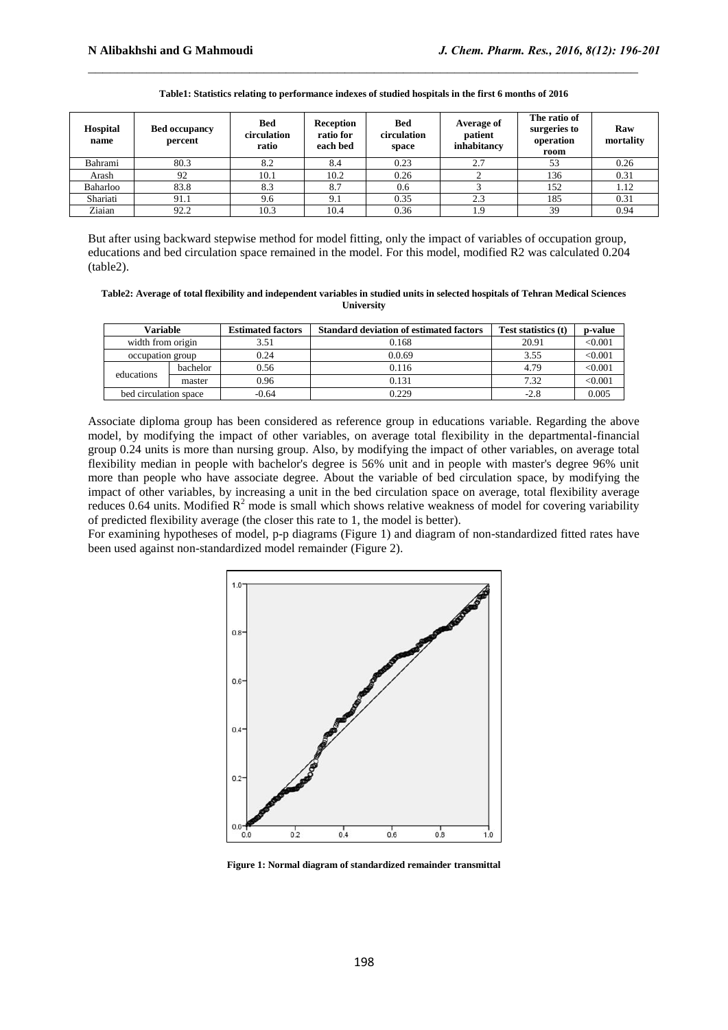| <b>Hospital</b><br>name | <b>Bed occupancy</b><br>percent | <b>Bed</b><br>circulation<br>ratio | <b>Reception</b><br>ratio for<br>each bed | Bed<br>circulation<br>space | Average of<br>patient<br>inhabitancy | The ratio of<br>surgeries to<br>operation<br>room | Raw<br>mortality |
|-------------------------|---------------------------------|------------------------------------|-------------------------------------------|-----------------------------|--------------------------------------|---------------------------------------------------|------------------|
| Bahrami                 | 80.3                            | 8.2                                | 8.4                                       | 0.23                        | 2.7                                  | 53                                                | 0.26             |
| Arash                   | 92                              | 10.1                               | 10.2                                      | 0.26                        |                                      | 136                                               | 0.31             |
| Baharloo                | 83.8                            | 8.3                                | 8.7                                       | 0.6                         |                                      | 152                                               | 1.12             |
| Shariati                | 91.1                            | 9.6                                | 9.1                                       | 0.35                        | 2.3                                  | 185                                               | 0.31             |
| Ziaian                  | 92.2                            | 10.3                               | 10.4                                      | 0.36                        | 1.9                                  | 39                                                | 0.94             |

#### **Table1: Statistics relating to performance indexes of studied hospitals in the first 6 months of 2016**

 $\_$  , and the contribution of the contribution of  $\mathcal{L}_\mathcal{A}$  , and the contribution of  $\mathcal{L}_\mathcal{A}$ 

But after using backward stepwise method for model fitting, only the impact of variables of occupation group, educations and bed circulation space remained in the model. For this model, modified R2 was calculated 0.204 (table2).

**Table2: Average of total flexibility and independent variables in studied units in selected hospitals of Tehran Medical Sciences University**

| Variable              |          | <b>Estimated factors</b> | <b>Standard deviation of estimated factors</b> | Test statistics (t) | p-value |
|-----------------------|----------|--------------------------|------------------------------------------------|---------------------|---------|
| width from origin     |          | 3.51                     | 0.168                                          | 20.91               | < 0.001 |
| occupation group      |          | 0.24                     | 0.0.69                                         | 3.55                | < 0.001 |
| educations            | bachelor | 0.56                     | 0.116                                          | 4.79                | < 0.001 |
|                       | master   | 0.96                     | 0.131                                          | 7.32                | < 0.001 |
| bed circulation space |          | $-0.64$                  | 0.229                                          | $-2.8$              | 0.005   |

Associate diploma group has been considered as reference group in educations variable. Regarding the above model, by modifying the impact of other variables, on average total flexibility in the departmental-financial group 0.24 units is more than nursing group. Also, by modifying the impact of other variables, on average total flexibility median in people with bachelor's degree is 56% unit and in people with master's degree 96% unit more than people who have associate degree. About the variable of bed circulation space, by modifying the impact of other variables, by increasing a unit in the bed circulation space on average, total flexibility average reduces 0.64 units. Modified  $R<sup>2</sup>$  mode is small which shows relative weakness of model for covering variability of predicted flexibility average (the closer this rate to 1, the model is better).

For examining hypotheses of model, p-p diagrams (Figure 1) and diagram of non-standardized fitted rates have been used against non-standardized model remainder (Figure 2).



**Figure 1: Normal diagram of standardized remainder transmittal**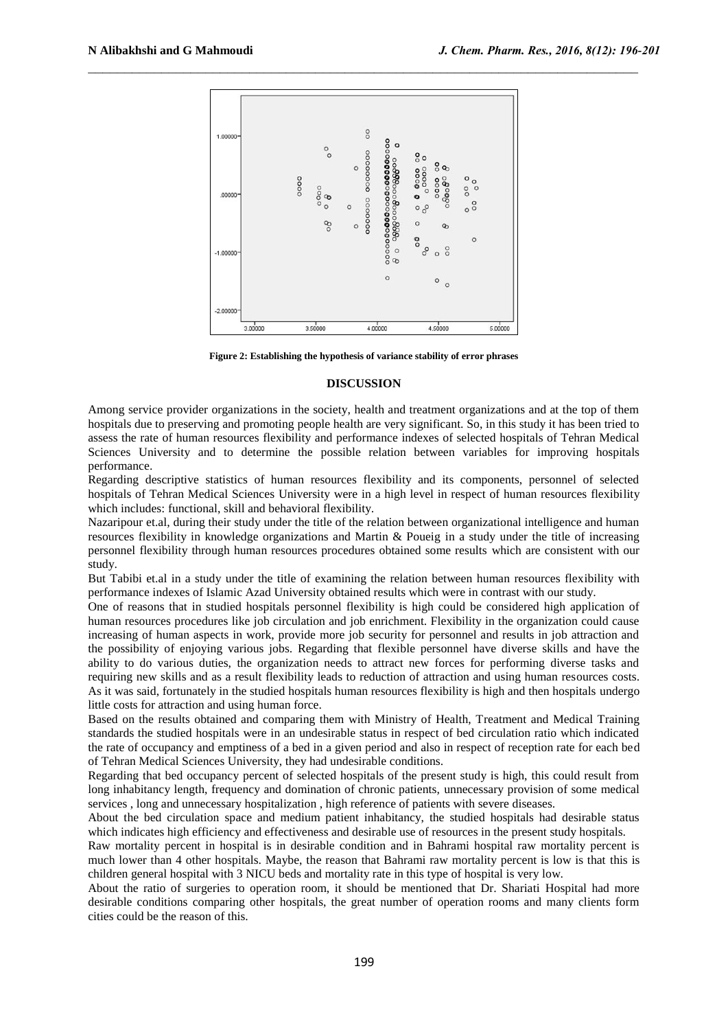

**Figure 2: Establishing the hypothesis of variance stability of error phrases**

#### **DISCUSSION**

Among service provider organizations in the society, health and treatment organizations and at the top of them hospitals due to preserving and promoting people health are very significant. So, in this study it has been tried to assess the rate of human resources flexibility and performance indexes of selected hospitals of Tehran Medical Sciences University and to determine the possible relation between variables for improving hospitals performance.

Regarding descriptive statistics of human resources flexibility and its components, personnel of selected hospitals of Tehran Medical Sciences University were in a high level in respect of human resources flexibility which includes: functional, skill and behavioral flexibility.

Nazaripour et.al, during their study under the title of the relation between organizational intelligence and human resources flexibility in knowledge organizations and Martin & Poueig in a study under the title of increasing personnel flexibility through human resources procedures obtained some results which are consistent with our study.

But Tabibi et.al in a study under the title of examining the relation between human resources flexibility with performance indexes of Islamic Azad University obtained results which were in contrast with our study.

One of reasons that in studied hospitals personnel flexibility is high could be considered high application of human resources procedures like job circulation and job enrichment. Flexibility in the organization could cause increasing of human aspects in work, provide more job security for personnel and results in job attraction and the possibility of enjoying various jobs. Regarding that flexible personnel have diverse skills and have the ability to do various duties, the organization needs to attract new forces for performing diverse tasks and requiring new skills and as a result flexibility leads to reduction of attraction and using human resources costs. As it was said, fortunately in the studied hospitals human resources flexibility is high and then hospitals undergo little costs for attraction and using human force.

Based on the results obtained and comparing them with Ministry of Health, Treatment and Medical Training standards the studied hospitals were in an undesirable status in respect of bed circulation ratio which indicated the rate of occupancy and emptiness of a bed in a given period and also in respect of reception rate for each bed of Tehran Medical Sciences University, they had undesirable conditions.

Regarding that bed occupancy percent of selected hospitals of the present study is high, this could result from long inhabitancy length, frequency and domination of chronic patients, unnecessary provision of some medical services , long and unnecessary hospitalization , high reference of patients with severe diseases.

About the bed circulation space and medium patient inhabitancy, the studied hospitals had desirable status which indicates high efficiency and effectiveness and desirable use of resources in the present study hospitals.

Raw mortality percent in hospital is in desirable condition and in Bahrami hospital raw mortality percent is much lower than 4 other hospitals. Maybe, the reason that Bahrami raw mortality percent is low is that this is children general hospital with 3 NICU beds and mortality rate in this type of hospital is very low.

About the ratio of surgeries to operation room, it should be mentioned that Dr. Shariati Hospital had more desirable conditions comparing other hospitals, the great number of operation rooms and many clients form cities could be the reason of this.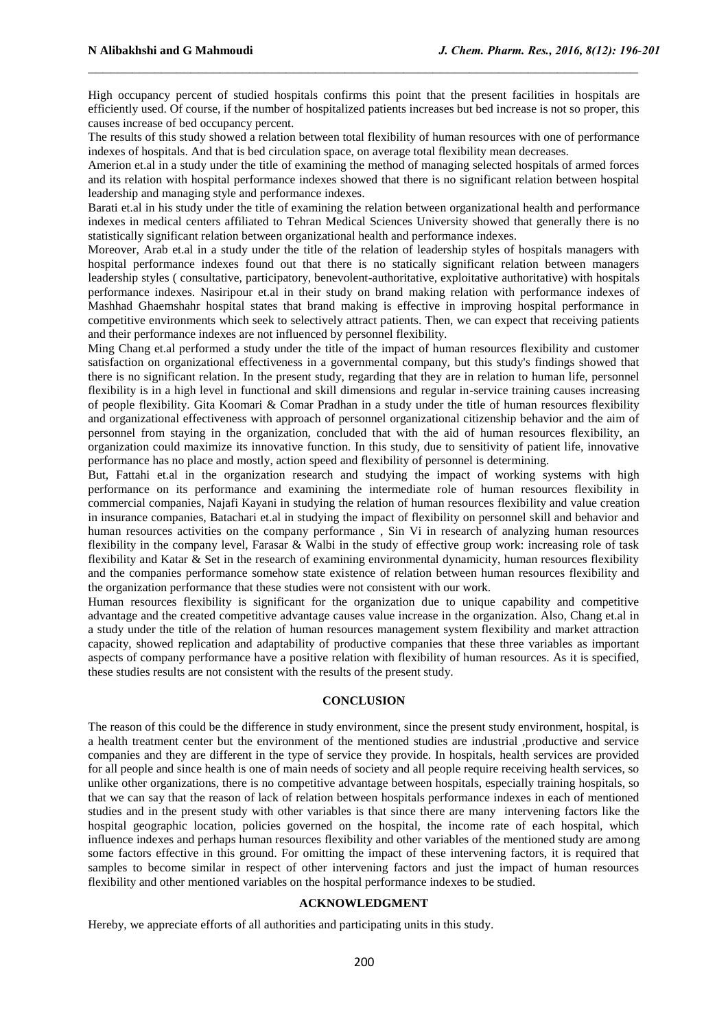High occupancy percent of studied hospitals confirms this point that the present facilities in hospitals are efficiently used. Of course, if the number of hospitalized patients increases but bed increase is not so proper, this causes increase of bed occupancy percent.

 $\_$  , and the contribution of the contribution of  $\mathcal{L}_\mathcal{A}$  , and the contribution of  $\mathcal{L}_\mathcal{A}$ 

The results of this study showed a relation between total flexibility of human resources with one of performance indexes of hospitals. And that is bed circulation space, on average total flexibility mean decreases.

Amerion et.al in a study under the title of examining the method of managing selected hospitals of armed forces and its relation with hospital performance indexes showed that there is no significant relation between hospital leadership and managing style and performance indexes.

Barati et.al in his study under the title of examining the relation between organizational health and performance indexes in medical centers affiliated to Tehran Medical Sciences University showed that generally there is no statistically significant relation between organizational health and performance indexes.

Moreover, Arab et.al in a study under the title of the relation of leadership styles of hospitals managers with hospital performance indexes found out that there is no statically significant relation between managers leadership styles ( consultative, participatory, benevolent-authoritative, exploitative authoritative) with hospitals performance indexes. Nasiripour et.al in their study on brand making relation with performance indexes of Mashhad Ghaemshahr hospital states that brand making is effective in improving hospital performance in competitive environments which seek to selectively attract patients. Then, we can expect that receiving patients and their performance indexes are not influenced by personnel flexibility.

Ming Chang et.al performed a study under the title of the impact of human resources flexibility and customer satisfaction on organizational effectiveness in a governmental company, but this study's findings showed that there is no significant relation. In the present study, regarding that they are in relation to human life, personnel flexibility is in a high level in functional and skill dimensions and regular in-service training causes increasing of people flexibility. Gita Koomari & Comar Pradhan in a study under the title of human resources flexibility and organizational effectiveness with approach of personnel organizational citizenship behavior and the aim of personnel from staying in the organization, concluded that with the aid of human resources flexibility, an organization could maximize its innovative function. In this study, due to sensitivity of patient life, innovative performance has no place and mostly, action speed and flexibility of personnel is determining.

But, Fattahi et.al in the organization research and studying the impact of working systems with high performance on its performance and examining the intermediate role of human resources flexibility in commercial companies, Najafi Kayani in studying the relation of human resources flexibility and value creation in insurance companies, Batachari et.al in studying the impact of flexibility on personnel skill and behavior and human resources activities on the company performance , Sin Vi in research of analyzing human resources flexibility in the company level, Farasar & Walbi in the study of effective group work: increasing role of task flexibility and Katar & Set in the research of examining environmental dynamicity, human resources flexibility and the companies performance somehow state existence of relation between human resources flexibility and the organization performance that these studies were not consistent with our work.

Human resources flexibility is significant for the organization due to unique capability and competitive advantage and the created competitive advantage causes value increase in the organization. Also, Chang et.al in a study under the title of the relation of human resources management system flexibility and market attraction capacity, showed replication and adaptability of productive companies that these three variables as important aspects of company performance have a positive relation with flexibility of human resources. As it is specified, these studies results are not consistent with the results of the present study.

#### **CONCLUSION**

The reason of this could be the difference in study environment, since the present study environment, hospital, is a health treatment center but the environment of the mentioned studies are industrial ,productive and service companies and they are different in the type of service they provide. In hospitals, health services are provided for all people and since health is one of main needs of society and all people require receiving health services, so unlike other organizations, there is no competitive advantage between hospitals, especially training hospitals, so that we can say that the reason of lack of relation between hospitals performance indexes in each of mentioned studies and in the present study with other variables is that since there are many intervening factors like the hospital geographic location, policies governed on the hospital, the income rate of each hospital, which influence indexes and perhaps human resources flexibility and other variables of the mentioned study are among some factors effective in this ground. For omitting the impact of these intervening factors, it is required that samples to become similar in respect of other intervening factors and just the impact of human resources flexibility and other mentioned variables on the hospital performance indexes to be studied.

### **ACKNOWLEDGMENT**

Hereby, we appreciate efforts of all authorities and participating units in this study.